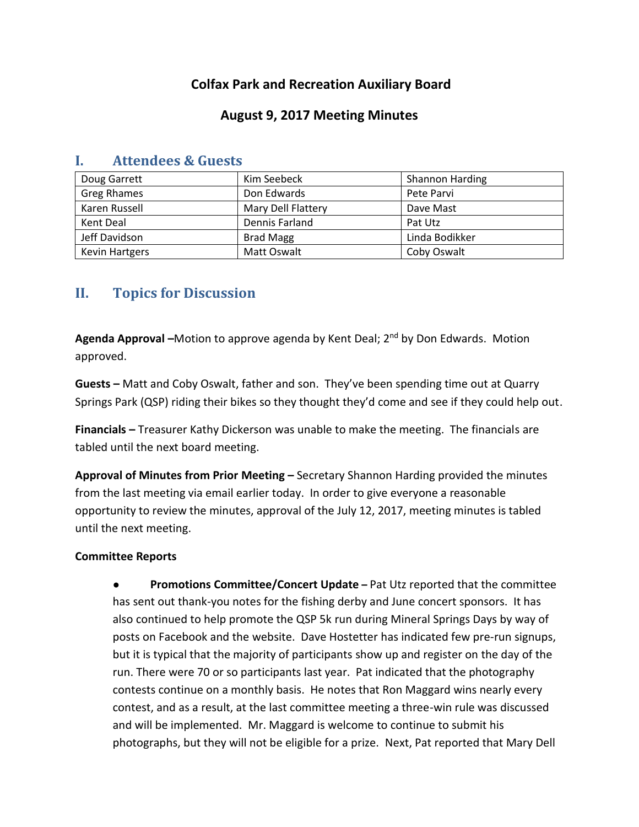# **Colfax Park and Recreation Auxiliary Board**

## **August 9, 2017 Meeting Minutes**

| Doug Garrett          | Kim Seebeck        | <b>Shannon Harding</b> |
|-----------------------|--------------------|------------------------|
| Greg Rhames           | Don Edwards        | Pete Parvi             |
| Karen Russell         | Mary Dell Flattery | Dave Mast              |
| Kent Deal             | Dennis Farland     | Pat Utz                |
| Jeff Davidson         | <b>Brad Magg</b>   | Linda Bodikker         |
| <b>Kevin Hartgers</b> | Matt Oswalt        | Coby Oswalt            |

### **I. Attendees & Guests**

# **II. Topics for Discussion**

**Agenda Approval –**Motion to approve agenda by Kent Deal; 2nd by Don Edwards. Motion approved.

**Guests –** Matt and Coby Oswalt, father and son. They've been spending time out at Quarry Springs Park (QSP) riding their bikes so they thought they'd come and see if they could help out.

**Financials –** Treasurer Kathy Dickerson was unable to make the meeting. The financials are tabled until the next board meeting.

**Approval of Minutes from Prior Meeting –** Secretary Shannon Harding provided the minutes from the last meeting via email earlier today. In order to give everyone a reasonable opportunity to review the minutes, approval of the July 12, 2017, meeting minutes is tabled until the next meeting.

### **Committee Reports**

● **Promotions Committee/Concert Update –** Pat Utz reported that the committee has sent out thank-you notes for the fishing derby and June concert sponsors. It has also continued to help promote the QSP 5k run during Mineral Springs Days by way of posts on Facebook and the website. Dave Hostetter has indicated few pre-run signups, but it is typical that the majority of participants show up and register on the day of the run. There were 70 or so participants last year. Pat indicated that the photography contests continue on a monthly basis. He notes that Ron Maggard wins nearly every contest, and as a result, at the last committee meeting a three-win rule was discussed and will be implemented. Mr. Maggard is welcome to continue to submit his photographs, but they will not be eligible for a prize. Next, Pat reported that Mary Dell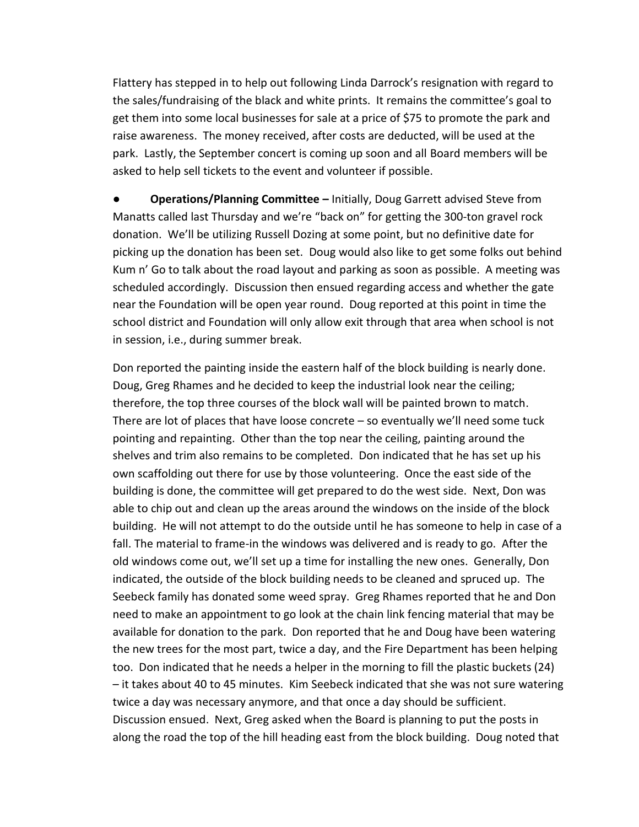Flattery has stepped in to help out following Linda Darrock's resignation with regard to the sales/fundraising of the black and white prints. It remains the committee's goal to get them into some local businesses for sale at a price of \$75 to promote the park and raise awareness. The money received, after costs are deducted, will be used at the park. Lastly, the September concert is coming up soon and all Board members will be asked to help sell tickets to the event and volunteer if possible.

**● Operations/Planning Committee –** Initially, Doug Garrett advised Steve from Manatts called last Thursday and we're "back on" for getting the 300-ton gravel rock donation. We'll be utilizing Russell Dozing at some point, but no definitive date for picking up the donation has been set. Doug would also like to get some folks out behind Kum n' Go to talk about the road layout and parking as soon as possible. A meeting was scheduled accordingly. Discussion then ensued regarding access and whether the gate near the Foundation will be open year round. Doug reported at this point in time the school district and Foundation will only allow exit through that area when school is not in session, i.e., during summer break.

Don reported the painting inside the eastern half of the block building is nearly done. Doug, Greg Rhames and he decided to keep the industrial look near the ceiling; therefore, the top three courses of the block wall will be painted brown to match. There are lot of places that have loose concrete – so eventually we'll need some tuck pointing and repainting. Other than the top near the ceiling, painting around the shelves and trim also remains to be completed. Don indicated that he has set up his own scaffolding out there for use by those volunteering. Once the east side of the building is done, the committee will get prepared to do the west side. Next, Don was able to chip out and clean up the areas around the windows on the inside of the block building. He will not attempt to do the outside until he has someone to help in case of a fall. The material to frame-in the windows was delivered and is ready to go. After the old windows come out, we'll set up a time for installing the new ones. Generally, Don indicated, the outside of the block building needs to be cleaned and spruced up. The Seebeck family has donated some weed spray. Greg Rhames reported that he and Don need to make an appointment to go look at the chain link fencing material that may be available for donation to the park. Don reported that he and Doug have been watering the new trees for the most part, twice a day, and the Fire Department has been helping too. Don indicated that he needs a helper in the morning to fill the plastic buckets (24) – it takes about 40 to 45 minutes. Kim Seebeck indicated that she was not sure watering twice a day was necessary anymore, and that once a day should be sufficient. Discussion ensued. Next, Greg asked when the Board is planning to put the posts in along the road the top of the hill heading east from the block building. Doug noted that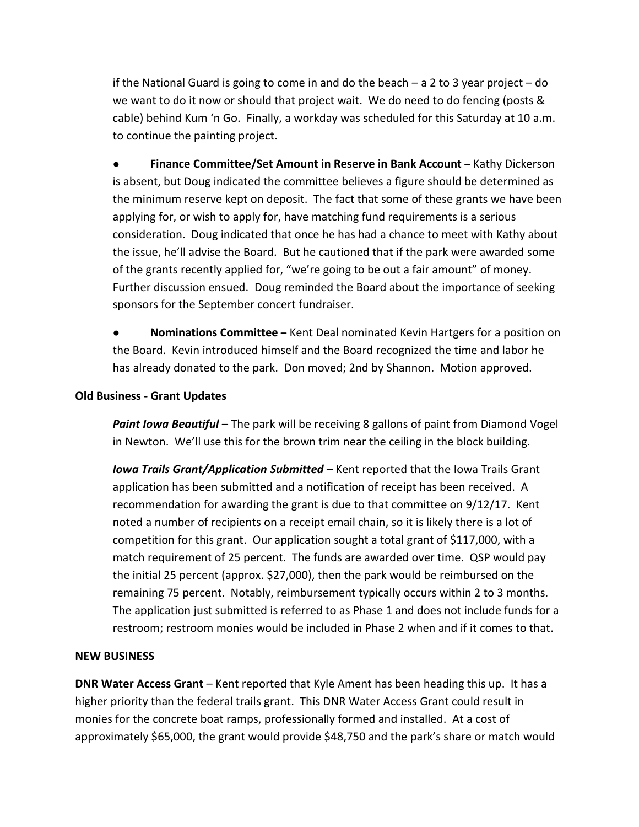if the National Guard is going to come in and do the beach – a 2 to 3 year project – do we want to do it now or should that project wait. We do need to do fencing (posts & cable) behind Kum 'n Go. Finally, a workday was scheduled for this Saturday at 10 a.m. to continue the painting project.

● **Finance Committee/Set Amount in Reserve in Bank Account –** Kathy Dickerson is absent, but Doug indicated the committee believes a figure should be determined as the minimum reserve kept on deposit. The fact that some of these grants we have been applying for, or wish to apply for, have matching fund requirements is a serious consideration. Doug indicated that once he has had a chance to meet with Kathy about the issue, he'll advise the Board. But he cautioned that if the park were awarded some of the grants recently applied for, "we're going to be out a fair amount" of money. Further discussion ensued. Doug reminded the Board about the importance of seeking sponsors for the September concert fundraiser.

● **Nominations Committee –** Kent Deal nominated Kevin Hartgers for a position on the Board. Kevin introduced himself and the Board recognized the time and labor he has already donated to the park. Don moved; 2nd by Shannon. Motion approved.

#### **Old Business - Grant Updates**

*Paint Iowa Beautiful* – The park will be receiving 8 gallons of paint from Diamond Vogel in Newton. We'll use this for the brown trim near the ceiling in the block building.

*Iowa Trails Grant/Application Submitted* – Kent reported that the Iowa Trails Grant application has been submitted and a notification of receipt has been received. A recommendation for awarding the grant is due to that committee on 9/12/17. Kent noted a number of recipients on a receipt email chain, so it is likely there is a lot of competition for this grant. Our application sought a total grant of \$117,000, with a match requirement of 25 percent. The funds are awarded over time. QSP would pay the initial 25 percent (approx. \$27,000), then the park would be reimbursed on the remaining 75 percent. Notably, reimbursement typically occurs within 2 to 3 months. The application just submitted is referred to as Phase 1 and does not include funds for a restroom; restroom monies would be included in Phase 2 when and if it comes to that.

#### **NEW BUSINESS**

**DNR Water Access Grant** – Kent reported that Kyle Ament has been heading this up. It has a higher priority than the federal trails grant. This DNR Water Access Grant could result in monies for the concrete boat ramps, professionally formed and installed. At a cost of approximately \$65,000, the grant would provide \$48,750 and the park's share or match would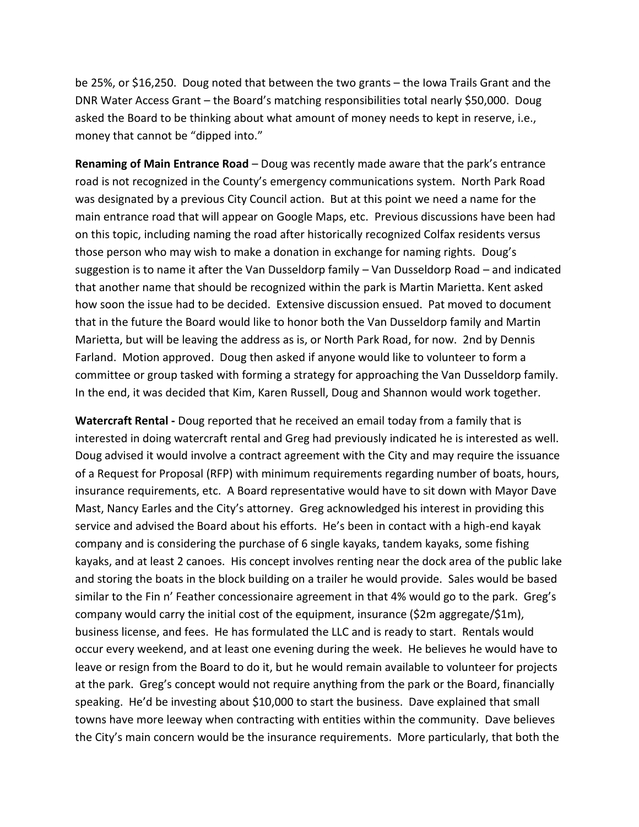be 25%, or \$16,250. Doug noted that between the two grants – the Iowa Trails Grant and the DNR Water Access Grant – the Board's matching responsibilities total nearly \$50,000. Doug asked the Board to be thinking about what amount of money needs to kept in reserve, i.e., money that cannot be "dipped into."

**Renaming of Main Entrance Road** – Doug was recently made aware that the park's entrance road is not recognized in the County's emergency communications system. North Park Road was designated by a previous City Council action. But at this point we need a name for the main entrance road that will appear on Google Maps, etc. Previous discussions have been had on this topic, including naming the road after historically recognized Colfax residents versus those person who may wish to make a donation in exchange for naming rights. Doug's suggestion is to name it after the Van Dusseldorp family – Van Dusseldorp Road – and indicated that another name that should be recognized within the park is Martin Marietta. Kent asked how soon the issue had to be decided. Extensive discussion ensued. Pat moved to document that in the future the Board would like to honor both the Van Dusseldorp family and Martin Marietta, but will be leaving the address as is, or North Park Road, for now. 2nd by Dennis Farland. Motion approved. Doug then asked if anyone would like to volunteer to form a committee or group tasked with forming a strategy for approaching the Van Dusseldorp family. In the end, it was decided that Kim, Karen Russell, Doug and Shannon would work together.

**Watercraft Rental -** Doug reported that he received an email today from a family that is interested in doing watercraft rental and Greg had previously indicated he is interested as well. Doug advised it would involve a contract agreement with the City and may require the issuance of a Request for Proposal (RFP) with minimum requirements regarding number of boats, hours, insurance requirements, etc. A Board representative would have to sit down with Mayor Dave Mast, Nancy Earles and the City's attorney. Greg acknowledged his interest in providing this service and advised the Board about his efforts. He's been in contact with a high-end kayak company and is considering the purchase of 6 single kayaks, tandem kayaks, some fishing kayaks, and at least 2 canoes. His concept involves renting near the dock area of the public lake and storing the boats in the block building on a trailer he would provide. Sales would be based similar to the Fin n' Feather concessionaire agreement in that 4% would go to the park. Greg's company would carry the initial cost of the equipment, insurance (\$2m aggregate/\$1m), business license, and fees. He has formulated the LLC and is ready to start. Rentals would occur every weekend, and at least one evening during the week. He believes he would have to leave or resign from the Board to do it, but he would remain available to volunteer for projects at the park. Greg's concept would not require anything from the park or the Board, financially speaking. He'd be investing about \$10,000 to start the business. Dave explained that small towns have more leeway when contracting with entities within the community. Dave believes the City's main concern would be the insurance requirements. More particularly, that both the